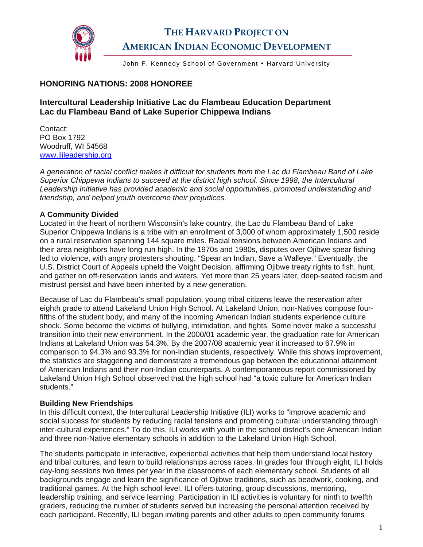

# **THE HARVARD PROJECT ON AMERICAN INDIAN ECONOMIC DEVELOPMENT**

John F. Kennedy School of Government • Harvard University

## **HONORING NATIONS: 2008 HONOREE**

## **Intercultural Leadership Initiative Lac du Flambeau Education Department Lac du Flambeau Band of Lake Superior Chippewa Indians**

Contact: PO Box 1792 Woodruff, WI 54568 [www.ilileadership.org](http://www.ilileadership.org/) 

*A generation of racial conflict makes it difficult for students from the Lac du Flambeau Band of Lake Superior Chippewa Indians to succeed at the district high school. Since 1998, the Intercultural Leadership Initiative has provided academic and social opportunities, promoted understanding and friendship, and helped youth overcome their prejudices.* 

#### **A Community Divided**

Located in the heart of northern Wisconsin's lake country, the Lac du Flambeau Band of Lake Superior Chippewa Indians is a tribe with an enrollment of 3,000 of whom approximately 1,500 reside on a rural reservation spanning 144 square miles. Racial tensions between American Indians and their area neighbors have long run high. In the 1970s and 1980s, disputes over Ojibwe spear fishing led to violence, with angry protesters shouting, "Spear an Indian, Save a Walleye." Eventually, the U.S. District Court of Appeals upheld the Voight Decision, affirming Ojibwe treaty rights to fish, hunt, and gather on off-reservation lands and waters. Yet more than 25 years later, deep-seated racism and mistrust persist and have been inherited by a new generation.

Because of Lac du Flambeau's small population, young tribal citizens leave the reservation after eighth grade to attend Lakeland Union High School. At Lakeland Union, non-Natives compose fourfifths of the student body, and many of the incoming American Indian students experience culture shock. Some become the victims of bullying, intimidation, and fights. Some never make a successful transition into their new environment. In the 2000/01 academic year, the graduation rate for American Indians at Lakeland Union was 54.3%. By the 2007/08 academic year it increased to 67.9% in comparison to 94.3% and 93.3% for non-Indian students, respectively. While this shows improvement, the statistics are staggering and demonstrate a tremendous gap between the educational attainment of American Indians and their non-Indian counterparts. A contemporaneous report commissioned by Lakeland Union High School observed that the high school had "a toxic culture for American Indian students."

#### **Building New Friendships**

In this difficult context, the Intercultural Leadership Initiative (ILI) works to "improve academic and social success for students by reducing racial tensions and promoting cultural understanding through inter-cultural experiences." To do this, ILI works with youth in the school district's one American Indian and three non-Native elementary schools in addition to the Lakeland Union High School.

The students participate in interactive, experiential activities that help them understand local history and tribal cultures, and learn to build relationships across races. In grades four through eight, ILI holds day-long sessions two times per year in the classrooms of each elementary school. Students of all backgrounds engage and learn the significance of Ojibwe traditions, such as beadwork, cooking, and traditional games. At the high school level, ILI offers tutoring, group discussions, mentoring, leadership training, and service learning. Participation in ILI activities is voluntary for ninth to twelfth graders, reducing the number of students served but increasing the personal attention received by each participant. Recently, ILI began inviting parents and other adults to open community forums